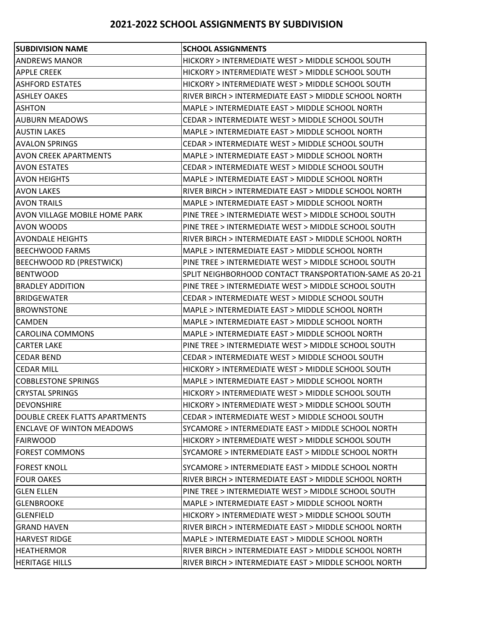## **2021-2022 SCHOOL ASSIGNMENTS BY SUBDIVISION**

| <b>SUBDIVISION NAME</b>          | <b>SCHOOL ASSIGNMENTS</b>                               |
|----------------------------------|---------------------------------------------------------|
| <b>ANDREWS MANOR</b>             | HICKORY > INTERMEDIATE WEST > MIDDLE SCHOOL SOUTH       |
| <b>APPLE CREEK</b>               | HICKORY > INTERMEDIATE WEST > MIDDLE SCHOOL SOUTH       |
| <b>ASHFORD ESTATES</b>           | HICKORY > INTERMEDIATE WEST > MIDDLE SCHOOL SOUTH       |
| <b>ASHLEY OAKES</b>              | RIVER BIRCH > INTERMEDIATE EAST > MIDDLE SCHOOL NORTH   |
| <b>ASHTON</b>                    | MAPLE > INTERMEDIATE EAST > MIDDLE SCHOOL NORTH         |
| <b>AUBURN MEADOWS</b>            | CEDAR > INTERMEDIATE WEST > MIDDLE SCHOOL SOUTH         |
| <b>AUSTIN LAKES</b>              | MAPLE > INTERMEDIATE EAST > MIDDLE SCHOOL NORTH         |
| <b>AVALON SPRINGS</b>            | CEDAR > INTERMEDIATE WEST > MIDDLE SCHOOL SOUTH         |
| <b>AVON CREEK APARTMENTS</b>     | MAPLE > INTERMEDIATE EAST > MIDDLE SCHOOL NORTH         |
| <b>AVON ESTATES</b>              | CEDAR > INTERMEDIATE WEST > MIDDLE SCHOOL SOUTH         |
| AVON HEIGHTS                     | MAPLE > INTERMEDIATE EAST > MIDDLE SCHOOL NORTH         |
| <b>AVON LAKES</b>                | RIVER BIRCH > INTERMEDIATE EAST > MIDDLE SCHOOL NORTH   |
| <b>AVON TRAILS</b>               | MAPLE > INTERMEDIATE EAST > MIDDLE SCHOOL NORTH         |
| AVON VILLAGE MOBILE HOME PARK    | PINE TREE > INTERMEDIATE WEST > MIDDLE SCHOOL SOUTH     |
| <b>AVON WOODS</b>                | PINE TREE > INTERMEDIATE WEST > MIDDLE SCHOOL SOUTH     |
| <b>AVONDALE HEIGHTS</b>          | RIVER BIRCH > INTERMEDIATE EAST > MIDDLE SCHOOL NORTH   |
| <b>BEECHWOOD FARMS</b>           | MAPLE > INTERMEDIATE EAST > MIDDLE SCHOOL NORTH         |
| <b>BEECHWOOD RD (PRESTWICK)</b>  | PINE TREE > INTERMEDIATE WEST > MIDDLE SCHOOL SOUTH     |
| <b>BENTWOOD</b>                  | SPLIT NEIGHBORHOOD CONTACT TRANSPORTATION-SAME AS 20-21 |
| <b>BRADLEY ADDITION</b>          | PINE TREE > INTERMEDIATE WEST > MIDDLE SCHOOL SOUTH     |
| <b>BRIDGEWATER</b>               | CEDAR > INTERMEDIATE WEST > MIDDLE SCHOOL SOUTH         |
| <b>BROWNSTONE</b>                | MAPLE > INTERMEDIATE EAST > MIDDLE SCHOOL NORTH         |
| <b>CAMDEN</b>                    | MAPLE > INTERMEDIATE EAST > MIDDLE SCHOOL NORTH         |
| CAROLINA COMMONS                 | MAPLE > INTERMEDIATE EAST > MIDDLE SCHOOL NORTH         |
| <b>CARTER LAKE</b>               | PINE TREE > INTERMEDIATE WEST > MIDDLE SCHOOL SOUTH     |
| <b>CEDAR BEND</b>                | CEDAR > INTERMEDIATE WEST > MIDDLE SCHOOL SOUTH         |
| <b>CEDAR MILL</b>                | HICKORY > INTERMEDIATE WEST > MIDDLE SCHOOL SOUTH       |
| <b>COBBLESTONE SPRINGS</b>       | MAPLE > INTERMEDIATE EAST > MIDDLE SCHOOL NORTH         |
| <b>CRYSTAL SPRINGS</b>           | HICKORY > INTERMEDIATE WEST > MIDDLE SCHOOL SOUTH       |
| <b>DEVONSHIRE</b>                | HICKORY > INTERMEDIATE WEST > MIDDLE SCHOOL SOUTH       |
| DOUBLE CREEK FLATTS APARTMENTS   | CEDAR > INTERMEDIATE WEST > MIDDLE SCHOOL SOUTH         |
| <b>ENCLAVE OF WINTON MEADOWS</b> | SYCAMORE > INTERMEDIATE EAST > MIDDLE SCHOOL NORTH      |
| <b>FAIRWOOD</b>                  | HICKORY > INTERMEDIATE WEST > MIDDLE SCHOOL SOUTH       |
| <b>FOREST COMMONS</b>            | SYCAMORE > INTERMEDIATE EAST > MIDDLE SCHOOL NORTH      |
| <b>FOREST KNOLL</b>              | SYCAMORE > INTERMEDIATE EAST > MIDDLE SCHOOL NORTH      |
| <b>FOUR OAKES</b>                | RIVER BIRCH > INTERMEDIATE EAST > MIDDLE SCHOOL NORTH   |
| <b>GLEN ELLEN</b>                | PINE TREE > INTERMEDIATE WEST > MIDDLE SCHOOL SOUTH     |
| <b>GLENBROOKE</b>                | MAPLE > INTERMEDIATE EAST > MIDDLE SCHOOL NORTH         |
| <b>GLENFIELD</b>                 | HICKORY > INTERMEDIATE WEST > MIDDLE SCHOOL SOUTH       |
| <b>GRAND HAVEN</b>               | RIVER BIRCH > INTERMEDIATE EAST > MIDDLE SCHOOL NORTH   |
| IHARVEST RIDGE                   | MAPLE > INTERMEDIATE EAST > MIDDLE SCHOOL NORTH         |
| IHEATHERMOR                      | RIVER BIRCH > INTERMEDIATE EAST > MIDDLE SCHOOL NORTH   |
| <b>HERITAGE HILLS</b>            | RIVER BIRCH > INTERMEDIATE EAST > MIDDLE SCHOOL NORTH   |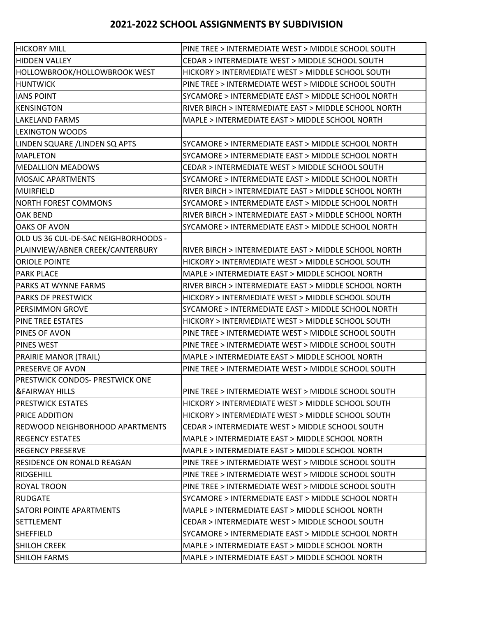## **2021-2022 SCHOOL ASSIGNMENTS BY SUBDIVISION**

| <b>HICKORY MILL</b>                  | PINE TREE > INTERMEDIATE WEST > MIDDLE SCHOOL SOUTH   |
|--------------------------------------|-------------------------------------------------------|
| <b>HIDDEN VALLEY</b>                 | CEDAR > INTERMEDIATE WEST > MIDDLE SCHOOL SOUTH       |
| HOLLOWBROOK/HOLLOWBROOK WEST         | HICKORY > INTERMEDIATE WEST > MIDDLE SCHOOL SOUTH     |
| <b>HUNTWICK</b>                      | PINE TREE > INTERMEDIATE WEST > MIDDLE SCHOOL SOUTH   |
| <b>IANS POINT</b>                    | SYCAMORE > INTERMEDIATE EAST > MIDDLE SCHOOL NORTH    |
| <b>KENSINGTON</b>                    | RIVER BIRCH > INTERMEDIATE EAST > MIDDLE SCHOOL NORTH |
| <b>LAKELAND FARMS</b>                | MAPLE > INTERMEDIATE EAST > MIDDLE SCHOOL NORTH       |
| LEXINGTON WOODS                      |                                                       |
| LINDEN SQUARE / LINDEN SQ APTS       | SYCAMORE > INTERMEDIATE EAST > MIDDLE SCHOOL NORTH    |
| <b>MAPLETON</b>                      | SYCAMORE > INTERMEDIATE EAST > MIDDLE SCHOOL NORTH    |
| <b>MEDALLION MEADOWS</b>             | CEDAR > INTERMEDIATE WEST > MIDDLE SCHOOL SOUTH       |
| <b>MOSAIC APARTMENTS</b>             | SYCAMORE > INTERMEDIATE EAST > MIDDLE SCHOOL NORTH    |
| <b>MUIRFIELD</b>                     | RIVER BIRCH > INTERMEDIATE EAST > MIDDLE SCHOOL NORTH |
| NORTH FOREST COMMONS                 | SYCAMORE > INTERMEDIATE EAST > MIDDLE SCHOOL NORTH    |
| <b>OAK BEND</b>                      | RIVER BIRCH > INTERMEDIATE EAST > MIDDLE SCHOOL NORTH |
| <b>OAKS OF AVON</b>                  | SYCAMORE > INTERMEDIATE EAST > MIDDLE SCHOOL NORTH    |
| OLD US 36 CUL-DE-SAC NEIGHBORHOODS - |                                                       |
| PLAINVIEW/ABNER CREEK/CANTERBURY     | RIVER BIRCH > INTERMEDIATE EAST > MIDDLE SCHOOL NORTH |
| <b>ORIOLE POINTE</b>                 | HICKORY > INTERMEDIATE WEST > MIDDLE SCHOOL SOUTH     |
| <b>PARK PLACE</b>                    | MAPLE > INTERMEDIATE EAST > MIDDLE SCHOOL NORTH       |
| PARKS AT WYNNE FARMS                 | RIVER BIRCH > INTERMEDIATE EAST > MIDDLE SCHOOL NORTH |
| <b>PARKS OF PRESTWICK</b>            | HICKORY > INTERMEDIATE WEST > MIDDLE SCHOOL SOUTH     |
| PERSIMMON GROVE                      | SYCAMORE > INTERMEDIATE EAST > MIDDLE SCHOOL NORTH    |
| PINE TREE ESTATES                    | HICKORY > INTERMEDIATE WEST > MIDDLE SCHOOL SOUTH     |
| PINES OF AVON                        | PINE TREE > INTERMEDIATE WEST > MIDDLE SCHOOL SOUTH   |
| <b>PINES WEST</b>                    | PINE TREE > INTERMEDIATE WEST > MIDDLE SCHOOL SOUTH   |
| <b>PRAIRIE MANOR (TRAIL)</b>         | MAPLE > INTERMEDIATE EAST > MIDDLE SCHOOL NORTH       |
| <b>PRESERVE OF AVON</b>              | PINE TREE > INTERMEDIATE WEST > MIDDLE SCHOOL SOUTH   |
| PRESTWICK CONDOS- PRESTWICK ONE      |                                                       |
| <b>&amp;FAIRWAY HILLS</b>            | PINE TREE > INTERMEDIATE WEST > MIDDLE SCHOOL SOUTH   |
| <b>PRESTWICK ESTATES</b>             | HICKORY > INTERMEDIATE WEST > MIDDLE SCHOOL SOUTH     |
| <b>PRICE ADDITION</b>                | HICKORY > INTERMEDIATE WEST > MIDDLE SCHOOL SOUTH     |
| REDWOOD NEIGHBORHOOD APARTMENTS      | CEDAR > INTERMEDIATE WEST > MIDDLE SCHOOL SOUTH       |
| <b>REGENCY ESTATES</b>               | MAPLE > INTERMEDIATE EAST > MIDDLE SCHOOL NORTH       |
| <b>REGENCY PRESERVE</b>              | MAPLE > INTERMEDIATE EAST > MIDDLE SCHOOL NORTH       |
| RESIDENCE ON RONALD REAGAN           | PINE TREE > INTERMEDIATE WEST > MIDDLE SCHOOL SOUTH   |
| <b>RIDGEHILL</b>                     | PINE TREE > INTERMEDIATE WEST > MIDDLE SCHOOL SOUTH   |
| <b>ROYAL TROON</b>                   | PINE TREE > INTERMEDIATE WEST > MIDDLE SCHOOL SOUTH   |
| <b>RUDGATE</b>                       | SYCAMORE > INTERMEDIATE EAST > MIDDLE SCHOOL NORTH    |
| <b>SATORI POINTE APARTMENTS</b>      | MAPLE > INTERMEDIATE EAST > MIDDLE SCHOOL NORTH       |
| <b>SETTLEMENT</b>                    | CEDAR > INTERMEDIATE WEST > MIDDLE SCHOOL SOUTH       |
| ISHEFFIELD                           | SYCAMORE > INTERMEDIATE EAST > MIDDLE SCHOOL NORTH    |
| <b>SHILOH CREEK</b>                  | MAPLE > INTERMEDIATE EAST > MIDDLE SCHOOL NORTH       |
| SHILOH FARMS                         | MAPLE > INTERMEDIATE EAST > MIDDLE SCHOOL NORTH       |